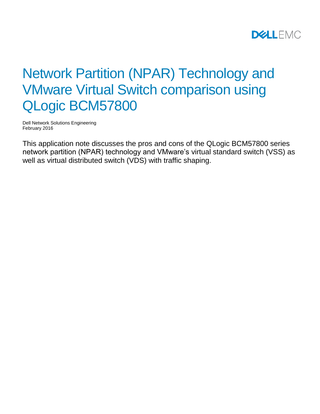

# Network Partition (NPAR) Technology and VMware Virtual Switch comparison using QLogic BCM57800

Dell Network Solutions Engineering February 2016

This application note discusses the pros and cons of the QLogic BCM57800 series network partition (NPAR) technology and VMware's virtual standard switch (VSS) as well as virtual distributed switch (VDS) with traffic shaping.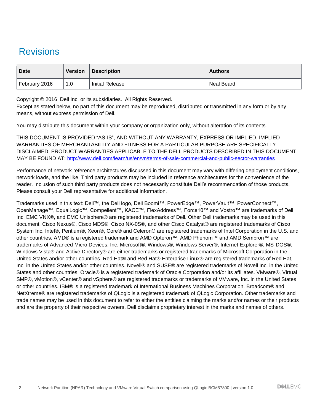# <span id="page-1-0"></span>Revisions

| <b>Date</b>   | <b>Version</b> | Description            | <b>Authors</b>    |
|---------------|----------------|------------------------|-------------------|
| February 2016 | 1.0            | <b>Initial Release</b> | <b>Neal Beard</b> |

Copyright © 2016 Dell Inc. or its subsidiaries. All Rights Reserved.

Except as stated below, no part of this document may be reproduced, distributed or transmitted in any form or by any means, without express permission of Dell.

You may distribute this document within your company or organization only, without alteration of its contents.

THIS DOCUMENT IS PROVIDED "AS-IS", AND WITHOUT ANY WARRANTY, EXPRESS OR IMPLIED. IMPLIED WARRANTIES OF MERCHANTABILITY AND FITNESS FOR A PARTICULAR PURPOSE ARE SPECIFICALLY DISCLAIMED. PRODUCT WARRANTIES APPLICABLE TO THE DELL PRODUCTS DESCRIBED IN THIS DOCUMENT MAY BE FOUND AT:<http://www.dell.com/learn/us/en/vn/terms-of-sale-commercial-and-public-sector-warranties>

Performance of network reference architectures discussed in this document may vary with differing deployment conditions, network loads, and the like. Third party products may be included in reference architectures for the convenience of the reader. Inclusion of such third party products does not necessarily constitute Dell's recommendation of those products. Please consult your Dell representative for additional information.

Trademarks used in this text: Dell™, the Dell logo, Dell Boomi™, PowerEdge™, PowerVault™, PowerConnect™, OpenManage™, EqualLogic™, Compellent™, KACE™, FlexAddress™, Force10™ and Vostro™ are trademarks of Dell Inc. EMC VNX®, and EMC Unisphere® are registered trademarks of Dell. Other Dell trademarks may be used in this document. Cisco Nexus®, Cisco MDS®, Cisco NX-0S®, and other Cisco Catalyst® are registered trademarks of Cisco System Inc. Intel®, Pentium®, Xeon®, Core® and Celeron® are registered trademarks of Intel Corporation in the U.S. and other countries. AMD® is a registered trademark and AMD Opteron™, AMD Phenom™ and AMD Sempron™ are trademarks of Advanced Micro Devices, Inc. Microsoft®, Windows®, Windows Server®, Internet Explorer®, MS-DOS®, Windows Vista® and Active Directory® are either trademarks or registered trademarks of Microsoft Corporation in the United States and/or other countries. Red Hat® and Red Hat® Enterprise Linux® are registered trademarks of Red Hat, Inc. in the United States and/or other countries. Novell® and SUSE® are registered trademarks of Novell Inc. in the United States and other countries. Oracle® is a registered trademark of Oracle Corporation and/or its affiliates. VMware®, Virtual SMP®, vMotion®, vCenter® and vSphere® are registered trademarks or trademarks of VMware, Inc. in the United States or other countries. IBM® is a registered trademark of International Business Machines Corporation. Broadcom® and NetXtreme® are registered trademarks of QLogic is a registered trademark of QLogic Corporation. Other trademarks and trade names may be used in this document to refer to either the entities claiming the marks and/or names or their products and are the property of their respective owners. Dell disclaims proprietary interest in the marks and names of others.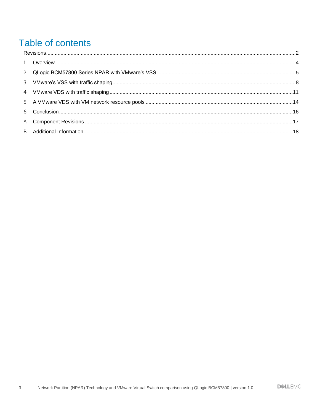# Table of contents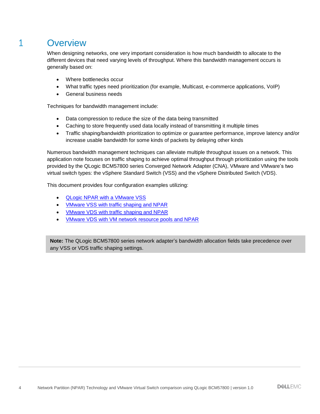### <span id="page-3-0"></span>1 Overview

When designing networks, one very important consideration is how much bandwidth to allocate to the different devices that need varying levels of throughput. Where this bandwidth management occurs is generally based on:

- Where bottlenecks occur
- What traffic types need prioritization (for example, Multicast, e-commerce applications, VoIP)
- General business needs

Techniques for bandwidth management include:

- Data compression to reduce the size of the data being transmitted
- Caching to store frequently used data locally instead of transmitting it multiple times
- Traffic shaping/bandwidth prioritization to optimize or guarantee performance, improve latency and/or increase usable bandwidth for some kinds of packets by delaying other kinds

Numerous bandwidth management techniques can alleviate multiple throughput issues on a network. This application note focuses on traffic shaping to achieve optimal throughput through prioritization using the tools provided by the QLogic BCM57800 series Converged Network Adapter (CNA), VMware and VMware's two virtual switch types: the vSphere Standard Switch (VSS) and the vSphere Distributed Switch (VDS).

This document provides four configuration examples utilizing:

- [QLogic NPAR with a VMware VSS](#page-4-0)
- VMware VSS [with traffic shaping and NPAR](#page-7-0)
- VMware VDS [with traffic shaping and NPAR](#page-10-0)
- VMware VDS [with VM network resource pools and NPAR](#page-13-0)

**Note:** The QLogic BCM57800 series network adapter's bandwidth allocation fields take precedence over any VSS or VDS traffic shaping settings.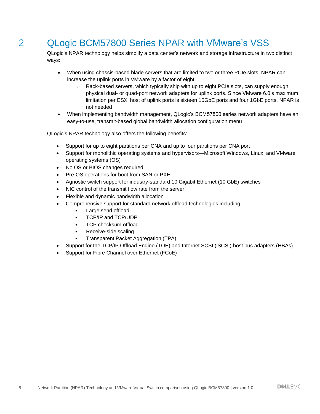# <span id="page-4-0"></span>2 QLogic BCM57800 Series NPAR with VMware's VSS

QLogic's NPAR technology helps simplify a data center's network and storage infrastructure in two distinct ways:

- When using chassis-based blade servers that are limited to two or three PCIe slots, NPAR can increase the uplink ports in VMware by a factor of eight
	- o Rack-based servers, which typically ship with up to eight PCIe slots, can supply enough physical dual- or quad-port network adapters for uplink ports. Since VMware 6.0's maximum limitation per ESXi host of uplink ports is sixteen 10GbE ports and four 1GbE ports, NPAR is not needed
- When implementing bandwidth management, QLogic's BCM57800 series network adapters have an easy-to-use, transmit-based global bandwidth allocation configuration menu

QLogic's NPAR technology also offers the following benefits:

- Support for up to eight partitions per CNA and up to four partitions per CNA port
- Support for monolithic operating systems and hypervisors—Microsoft Windows, Linux, and VMware operating systems (OS)
- No OS or BIOS changes required
- Pre-OS operations for boot from SAN or PXE
- Agnostic switch support for industry-standard 10 Gigabit Ethernet (10 GbE) switches
- NIC control of the transmit flow rate from the server
- Flexible and dynamic bandwidth allocation
- Comprehensive support for standard network offload technologies including:
	- Large send offload
	- TCP/IP and TCP/UDP
	- TCP checksum offload
	- Receive-side scaling
	- Transparent Packet Aggregation (TPA)
- Support for the TCP/IP Offload Engine (TOE) and Internet SCSI (iSCSI) host bus adapters (HBAs).
- Support for Fibre Channel over Ethernet (FCoE)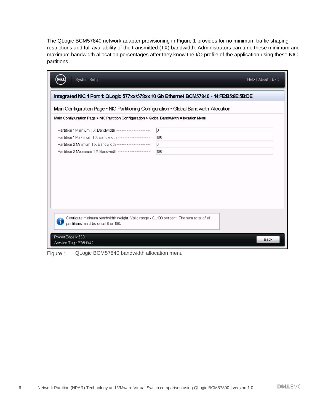The QLogic BCM57840 network adapter provisioning in [Figure 1](#page-5-0) provides for no minimum traffic shaping restrictions and full availability of the transmitted (TX) bandwidth. Administrators can tune these minimum and maximum bandwidth allocation percentages after they know the I/O profile of the application using these NIC partitions.

| System Setup                                                                                                               | Help   About   Exit |  |  |  |  |
|----------------------------------------------------------------------------------------------------------------------------|---------------------|--|--|--|--|
| Integrated NIC 1 Port 1: QLogic 577xx/578xx 10 Gb Ethernet BCM57840 - 14:FE:B5:8E:5B:DE                                    |                     |  |  |  |  |
| Main Configuration Page • NIC Partitioning Configuration • Global Bandwidth Allocation                                     |                     |  |  |  |  |
| Main Configuration Page > NIC Partition Configuration > Global Bandwidth Allocation Menu                                   |                     |  |  |  |  |
| 冋<br>100<br>$ 0\rangle$<br>100                                                                                             |                     |  |  |  |  |
| Configure minimum bandwidth weight. Valid range - 0100 percent. The sum total of all<br>partitions must be equal 0 or 100. |                     |  |  |  |  |
| PowerEdge M630<br><b>Back</b><br>Service Tag: B76H942                                                                      |                     |  |  |  |  |

<span id="page-5-0"></span>Figure 1 QLogic BCM57840 bandwidth allocation menu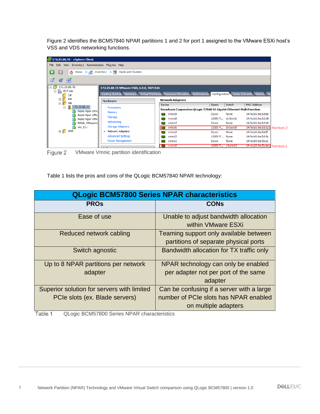[Figure 2](#page-6-0) identifies the BCM57840 NPAR partitions 1 and 2 for port 1 assigned to the VMware ESXi host's VSS and VDS networking functions.

| 172.25.88.76 - vSphere Client                                                                                             |                                                                                                                                                       |                                                                                                                                                                      |                                                               |                                                              |                                                                                                                                                             |
|---------------------------------------------------------------------------------------------------------------------------|-------------------------------------------------------------------------------------------------------------------------------------------------------|----------------------------------------------------------------------------------------------------------------------------------------------------------------------|---------------------------------------------------------------|--------------------------------------------------------------|-------------------------------------------------------------------------------------------------------------------------------------------------------------|
| File Edit View Inventory Administration Plug-ins Help                                                                     |                                                                                                                                                       |                                                                                                                                                                      |                                                               |                                                              |                                                                                                                                                             |
| Ð<br>$\overline{\phantom{0}}$<br>Home $\triangleright$ $\frac{1}{\sqrt{2}}$ Inventory $\triangleright$<br>G               | <b>Hosts and Clusters</b>                                                                                                                             |                                                                                                                                                                      |                                                               |                                                              |                                                                                                                                                             |
| 嘂<br>団<br>e                                                                                                               |                                                                                                                                                       |                                                                                                                                                                      |                                                               |                                                              |                                                                                                                                                             |
| 172.25.88.76<br>E<br>貼<br>PCT.lab<br>$\boxdot$<br>CB<br>KH<br>$\pm$<br>$\Box$<br><b>NB</b><br>Π<br>172.25.88.31<br>$\Box$ | 172.25.88.31 VMware ESXi, 6.0.0, 3073146<br>Getting Started Summary Virtual Machines Resource Allocation Performance<br><b>Hardware</b><br>Processors | <b>Network Adapters</b><br>Device                                                                                                                                    | Speed                                                         | Switch                                                       | Configuration Tasks & Events Alarms Pe<br>MAC Address                                                                                                       |
| Neals Npar Vmv<br>Neals Npar VMv<br>Neals Npar VMv<br>NPAR VMware#<br>vm 011<br>回り<br><b>NSE</b>                          | Memory<br>Storage<br>Networking<br><b>Storage Adapters</b><br><b>Network Adapters</b><br><b>Advanced Settings</b><br>Power Management                 | Broadcom Corporation QLogic 57840 10 Gigabit Ethernet Multi Function<br>vmnic9<br>田学<br>vmnic8<br>vmnic7<br>vmnic6<br>me.<br>vmnic3<br>mе<br>vmnic2<br>vmnic1<br>me) | Down<br>10000 F<br>Down<br>10000 F<br>Down<br>10000 F<br>Down | None<br>dvSwitch<br>None<br>dvSwitch<br>None<br>None<br>None | 14:fe:b5:8e:5d:6b<br>14:fe:b5:8e:5d:68<br>14:fe:b5:8e:5d:65<br>14:fe:b5:8e:5d:62 Partition 2<br>14:fe:b5:8e:5d:5f<br>14:fe:b5:8e:5d:5c<br>14:fe:b5:8e:5b:e1 |
|                                                                                                                           |                                                                                                                                                       | vmnic0<br><b>Ho</b>                                                                                                                                                  | 10000 F vSwitch0                                              |                                                              | 14:te:b5:8e:5b:de Partition 1                                                                                                                               |

<span id="page-6-0"></span>Figure 2 VMware Vmnic partition identification

[Table 1](#page-6-1) lists the pros and cons of the QLogic BCM57840 NPAR technology:

| <b>QLogic BCM57800 Series NPAR characteristics</b>                           |                                                                                                            |  |  |
|------------------------------------------------------------------------------|------------------------------------------------------------------------------------------------------------|--|--|
| <b>PROs</b>                                                                  | <b>CONs</b>                                                                                                |  |  |
| Ease of use                                                                  | Unable to adjust bandwidth allocation<br>within VMware ESXi                                                |  |  |
| Reduced network cabling                                                      | Teaming support only available between<br>partitions of separate physical ports                            |  |  |
| Switch agnostic                                                              | Bandwidth allocation for TX traffic only                                                                   |  |  |
| Up to 8 NPAR partitions per network<br>adapter                               | NPAR technology can only be enabled<br>per adapter not per port of the same<br>adapter                     |  |  |
| Superior solution for servers with limited<br>PCIe slots (ex. Blade servers) | Can be confusing if a server with a large<br>number of PCIe slots has NPAR enabled<br>on multiple adapters |  |  |

<span id="page-6-1"></span>Table 1 QLogic BCM57800 Series NPAR characteristics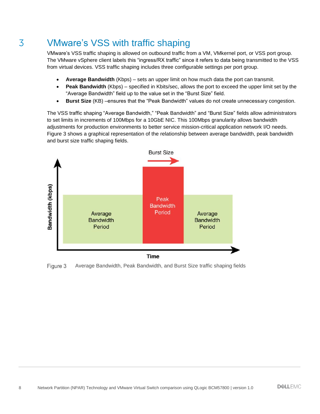# <span id="page-7-0"></span>3 VMware's VSS with traffic shaping

VMware's VSS traffic shaping is allowed on outbound traffic from a VM, VMkernel port, or VSS port group. The VMware vSphere client labels this "ingress/RX traffic" since it refers to data being transmitted to the VSS from virtual devices. VSS traffic shaping includes three configurable settings per port group.

- **Average Bandwidth** (Kbps) sets an upper limit on how much data the port can transmit.
- **Peak Bandwidth** (Kbps) specified in Kbits/sec, allows the port to exceed the upper limit set by the "Average Bandwidth" field up to the value set in the "Burst Size" field.
- **Burst Size** (KB) –ensures that the "Peak Bandwidth" values do not create unnecessary congestion.

The VSS traffic shaping "Average Bandwidth," "Peak Bandwidth" and "Burst Size" fields allow administrators to set limits in increments of 100Mbps for a 10GbE NIC. This 100Mbps granularity allows bandwidth adjustments for production environments to better service mission-critical application network I/O needs. [Figure 3](#page-7-1) shows a graphical representation of the relationship between average bandwidth, peak bandwidth and burst size traffic shaping fields.



<span id="page-7-1"></span>Figure 3 Average Bandwidth, Peak Bandwidth, and Burst Size traffic shaping fields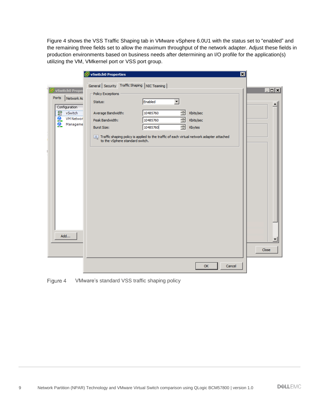[Figure 4](#page-8-0) shows the VSS Traffic Shaping tab in VMware vSphere 6.0U1 with the status set to "enabled" and the remaining three fields set to allow the maximum throughput of the network adapter. Adjust these fields in production environments based on business needs after determining an I/O profile for the application(s) utilizing the VM, VMkernel port or VSS port group.

|                                   | ⊠<br>vSwitch0 Properties                                                                                                     |                 |
|-----------------------------------|------------------------------------------------------------------------------------------------------------------------------|-----------------|
|                                   | General Security Traffic Shaping NIC Teaming                                                                                 |                 |
| VSwitch0 Proper                   | Policy Exceptions                                                                                                            | $\Box$ o $\Box$ |
| <b>Ports</b><br>Network Ac        | Enabled<br>▼<br>Status:                                                                                                      |                 |
| Configuration                     |                                                                                                                              |                 |
| 辧<br>vSwitch                      | 골<br>10485760<br>Kbits/sec<br>Average Bandwidth:                                                                             |                 |
| $\frac{1}{2}$<br><b>VM Networ</b> | 골<br>Peak Bandwidth:<br>Kbits/sec<br>10485760                                                                                |                 |
| Manageme                          | 금<br>10485760<br>Kbytes<br><b>Burst Size:</b>                                                                                |                 |
| ы<br>Add                          | Traffic shaping policy is applied to the traffic of each virtual network adapter attached<br>to the vSphere standard switch. | ▼<br>Close      |
|                                   | OK<br>Cancel                                                                                                                 |                 |
|                                   |                                                                                                                              |                 |

<span id="page-8-0"></span>Figure 4 VMware's standard VSS traffic shaping policy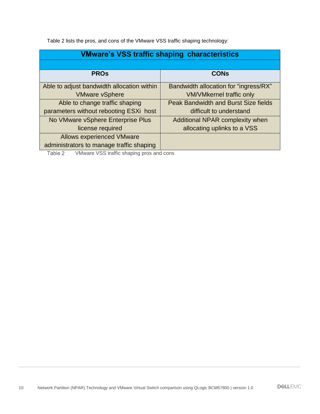[Table 2](#page-9-0) lists the pros, and cons of the VMware VSS traffic shaping technology:

| <b>VMware's VSS traffic shaping characteristics</b> |                                             |  |  |
|-----------------------------------------------------|---------------------------------------------|--|--|
|                                                     |                                             |  |  |
| <b>PROs</b>                                         | <b>CONs</b>                                 |  |  |
| Able to adjust bandwidth allocation within          | Bandwidth allocation for "ingress/RX"       |  |  |
| <b>VMware vSphere</b>                               | <b>VM/VMkernel traffic only</b>             |  |  |
| Able to change traffic shaping                      | <b>Peak Bandwidth and Burst Size fields</b> |  |  |
| parameters without rebooting ESXi host              | difficult to understand                     |  |  |
| No VMware vSphere Enterprise Plus                   | Additional NPAR complexity when             |  |  |
| license required                                    | allocating uplinks to a VSS                 |  |  |
| <b>Allows experienced VMware</b>                    |                                             |  |  |
| administrators to manage traffic shaping            |                                             |  |  |

<span id="page-9-0"></span>VMware VSS traffic shaping pros and consTable 2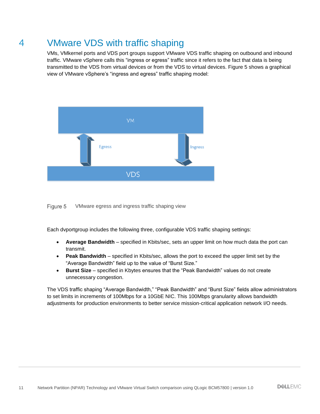# <span id="page-10-0"></span>4 VMware VDS with traffic shaping

VMs, VMkernel ports and VDS port groups support VMware VDS traffic shaping on outbound and inbound traffic. VMware vSphere calls this "ingress or egress" traffic since it refers to the fact that data is being transmitted to the VDS from virtual devices or from the VDS to virtual devices. [Figure 5](#page-10-1) shows a graphical view of VMware vSphere's "ingress and egress" traffic shaping model:



<span id="page-10-1"></span>Figure 5 VMware egress and ingress traffic shaping view

Each dvportgroup includes the following three, configurable VDS traffic shaping settings:

- **Average Bandwidth** specified in Kbits/sec, sets an upper limit on how much data the port can transmit.
- **Peak Bandwidth**  specified in Kbits/sec, allows the port to exceed the upper limit set by the "Average Bandwidth" field up to the value of "Burst Size."
- **Burst Size** specified in Kbytes ensures that the "Peak Bandwidth" values do not create unnecessary congestion.

The VDS traffic shaping "Average Bandwidth," "Peak Bandwidth" and "Burst Size" fields allow administrators to set limits in increments of 100Mbps for a 10GbE NIC. This 100Mbps granularity allows bandwidth adjustments for production environments to better service mission-critical application network I/O needs.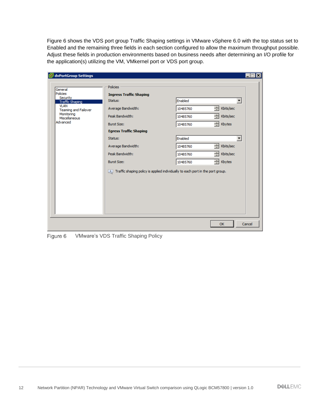[Figure 6](#page-11-0) shows the VDS port group Traffic Shaping settings in VMware vSphere 6.0 with the top status set to Enabled and the remaining three fields in each section configured to allow the maximum throughput possible. Adjust these fields in production environments based on business needs after determining an I/O profile for the application(s) utilizing the VM, VMkernel port or VDS port group.

| General                             | Policies                                                                             |          |                          |   |
|-------------------------------------|--------------------------------------------------------------------------------------|----------|--------------------------|---|
| Policies<br>Security                | <b>Ingress Traffic Shaping</b>                                                       |          |                          |   |
| Traffic Shaping                     | Status:                                                                              | Enabled  |                          | ▼ |
| <b>VLAN</b><br>Teaming and Failover | Average Bandwidth:                                                                   | 10485760 | 곡<br>Kbits/sec           |   |
| Monitoring<br>Miscellaneous         | Peak Bandwidth:                                                                      | 10485760 | $\equiv$<br>Kbits/sec    |   |
| Advanced                            | <b>Burst Size:</b>                                                                   | 10485760 | $\equiv$ Kbytes          |   |
|                                     | <b>Egress Traffic Shaping</b>                                                        |          |                          |   |
|                                     | Status:                                                                              | Enabled  |                          | ۰ |
|                                     | Average Bandwidth:                                                                   | 10485760 | ے<br>Kbits/sec           |   |
|                                     | Peak Bandwidth:                                                                      | 10485760 | ÷<br>Kbits/sec           |   |
|                                     | <b>Burst Size:</b>                                                                   | 10485760 | $\overline{\div}$ Kbytes |   |
|                                     | $[i]$ Traffic shaping policy is applied individually to each port in the port group. |          |                          |   |

<span id="page-11-0"></span>VMware's VDS Traffic Shaping PolicyFigure 6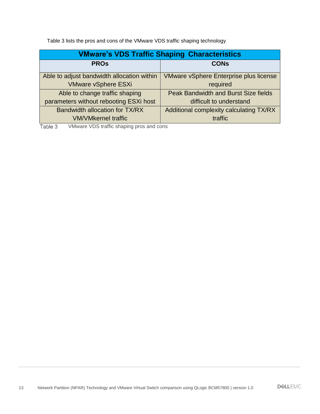[Table 3](#page-12-0) lists the pros and cons of the VMware VDS traffic shaping technology

| <b>VMware's VDS Traffic Shaping Characteristics</b> |                                               |  |  |
|-----------------------------------------------------|-----------------------------------------------|--|--|
| <b>PROS</b>                                         | <b>CONs</b>                                   |  |  |
| Able to adjust bandwidth allocation within          | <b>VMware vSphere Enterprise plus license</b> |  |  |
| <b>VMware vSphere ESXi</b>                          | required                                      |  |  |
| Able to change traffic shaping                      | Peak Bandwidth and Burst Size fields          |  |  |
| parameters without rebooting ESXi host              | difficult to understand                       |  |  |
| Bandwidth allocation for TX/RX                      | Additional complexity calculating TX/RX       |  |  |
| <b>VM/VMkernel traffic</b>                          | <b>traffic</b>                                |  |  |

<span id="page-12-0"></span>Table 3 VMware VDS traffic shaping pros and cons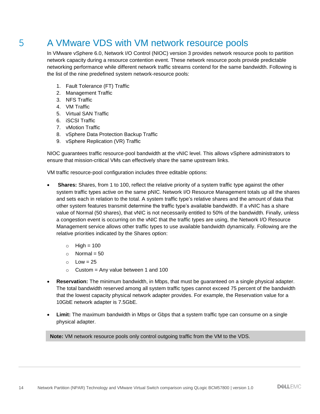### <span id="page-13-0"></span>5 A VMware VDS with VM network resource pools

In VMware vSphere 6.0, Network I/O Control (NIOC) version 3 provides network resource pools to partition network capacity during a resource contention event. These network resource pools provide predictable networking performance while different network traffic streams contend for the same bandwidth. Following is the list of the nine predefined system network-resource pools:

- 1. Fault Tolerance (FT) Traffic
- 2. Management Traffic
- 3. NFS Traffic
- 4. VM Traffic
- 5. Virtual SAN Traffic
- 6. iSCSI Traffic
- 7. vMotion Traffic
- 8. vSphere Data Protection Backup Traffic
- 9. vSphere Replication (VR) Traffic

NIOC guarantees traffic resource-pool bandwidth at the vNIC level. This allows vSphere administrators to ensure that mission-critical VMs can effectively share the same upstream links.

VM traffic resource-pool configuration includes three editable options:

- **Shares:** Shares, from 1 to 100, reflect the relative priority of a system traffic type against the other system traffic types active on the same pNIC. Network I/O Resource Management totals up all the shares and sets each in relation to the total. A system traffic type's relative shares and the amount of data that other system features transmit determine the traffic type's available bandwidth. If a vNIC has a share value of Normal (50 shares), that vNIC is not necessarily entitled to 50% of the bandwidth. Finally, unless a congestion event is occurring on the vNIC that the traffic types are using, the Network I/O Resource Management service allows other traffic types to use available bandwidth dynamically. Following are the relative priorities indicated by the Shares option:
	- $\circ$  High = 100
	- $\circ$  Normal = 50
	- $O$  Low = 25
	- $\circ$  Custom = Any value between 1 and 100
- **Reservation:** The minimum bandwidth, in Mbps, that must be guaranteed on a single physical adapter. The total bandwidth reserved among all system traffic types cannot exceed 75 percent of the bandwidth that the lowest capacity physical network adapter provides. For example, the Reservation value for a 10GbE network adapter is 7.5GbE.
- **Limit:** The maximum bandwidth in Mbps or Gbps that a system traffic type can consume on a single physical adapter.

**Note:** VM network resource pools only control outgoing traffic from the VM to the VDS.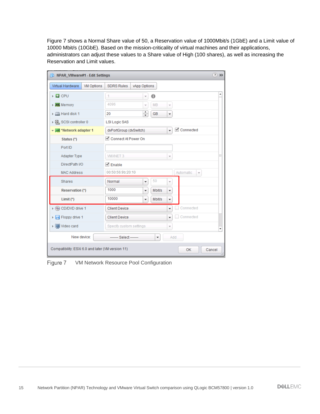[Figure 7](#page-14-0) shows a Normal Share value of 50, a Reservation value of 1000Mbit/s (1GbE) and a Limit value of 10000 Mbit/s (10GbE). Based on the mission-criticality of virtual machines and their applications, administrators can adjust these values to a Share value of High (100 shares), as well as increasing the Reservation and Limit values.

| 中 NPAR VMware#1 - Edit Settings                                      |                                                                              | $(?) \; H$    |  |
|----------------------------------------------------------------------|------------------------------------------------------------------------------|---------------|--|
| Virtual Hardware<br><b>VM Options</b>                                | <b>SDRS Rules</b><br>vApp Options                                            |               |  |
| $\triangleright$ $\Box$ CPU                                          | $\bf{0}$<br>1<br>$\overline{\mathbf{v}}$                                     |               |  |
| $\triangleright$ <b>III</b> Memory                                   | 4096<br><b>MB</b><br>$\overline{\mathcal{R}}$<br>$\overline{\psi}$           |               |  |
| $\triangleright$ $\square$ Hard disk 1                               | ٠<br>20<br><b>GB</b><br>$\overline{\phantom{a}}$<br>$\overline{\phantom{a}}$ |               |  |
| ▶ 图 SCSI controller 0                                                | <b>LSI Logic SAS</b>                                                         |               |  |
| * Metwork adapter 1                                                  | └ Connected<br>dvPortGroup (dvSwitch)<br>$\overline{\phantom{a}}$            |               |  |
| Status (*)                                                           | └ Connect At Power On                                                        |               |  |
| Port ID                                                              |                                                                              |               |  |
| Adapter Type                                                         | <b>VMXNET 3</b>                                                              | ×             |  |
| DirectPath I/O                                                       | $\sqrt{ }$ Enable                                                            |               |  |
| <b>MAC Address</b>                                                   | 00:50:56:9b:20:10<br>Automatic.<br>$\overline{\phantom{a}}$                  |               |  |
| <b>Shares</b>                                                        | 50<br>Normal<br>$\overline{\phantom{a}}$<br>$\overline{\phantom{a}}$         |               |  |
| <b>Reservation (*)</b>                                               | 1000<br><b>Mbit/s</b><br>$\blacktriangledown$<br>▼                           |               |  |
| Limit $(*)$                                                          | 10000<br><b>Mbit/s</b><br>٠<br>٠                                             |               |  |
| ▶ () CD/DVD drive 1                                                  | Connected<br><b>Client Device</b><br>÷                                       |               |  |
| $\triangleright$ $\blacksquare$ Floppy drive 1                       | Connected<br><b>Client Device</b><br>$\overline{\phantom{a}}$                |               |  |
| ▶ Wideo card                                                         | Specify custom settings<br>÷                                                 | ÷             |  |
| New device:<br>------- Select -------<br>Add<br>$\blacktriangledown$ |                                                                              |               |  |
| Compatibility: ESXi 6.0 and later (VM version 11)                    | OK                                                                           | Cancel<br>di. |  |

<span id="page-14-0"></span>Figure 7 VM Network Resource Pool Configuration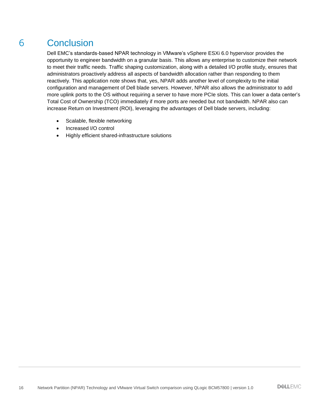# <span id="page-15-0"></span>6 Conclusion

Dell EMC's standards-based NPAR technology in VMware's vSphere ESXi 6.0 hypervisor provides the opportunity to engineer bandwidth on a granular basis. This allows any enterprise to customize their network to meet their traffic needs. Traffic shaping customization, along with a detailed I/O profile study, ensures that administrators proactively address all aspects of bandwidth allocation rather than responding to them reactively. This application note shows that, yes, NPAR adds another level of complexity to the initial configuration and management of Dell blade servers. However, NPAR also allows the administrator to add more uplink ports to the OS without requiring a server to have more PCIe slots. This can lower a data center's Total Cost of Ownership (TCO) immediately if more ports are needed but not bandwidth. NPAR also can increase Return on Investment (ROI), leveraging the advantages of Dell blade servers, including:

- Scalable, flexible networking
- Increased I/O control
- Highly efficient shared-infrastructure solutions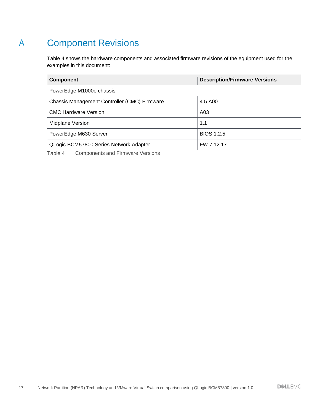# <span id="page-16-0"></span>A Component Revisions

[Table 4](#page-16-1) shows the hardware components and associated firmware revisions of the equipment used for the examples in this document:

| <b>Component</b>                             | <b>Description/Firmware Versions</b> |
|----------------------------------------------|--------------------------------------|
| PowerEdge M1000e chassis                     |                                      |
| Chassis Management Controller (CMC) Firmware | 4.5.A00                              |
| <b>CMC Hardware Version</b>                  | A <sub>03</sub>                      |
| Midplane Version                             | 1.1                                  |
| PowerEdge M630 Server                        | <b>BIOS 1.2.5</b>                    |
| QLogic BCM57800 Series Network Adapter       | FW 7.12.17                           |

<span id="page-16-1"></span>Table 4 Components and Firmware Versions